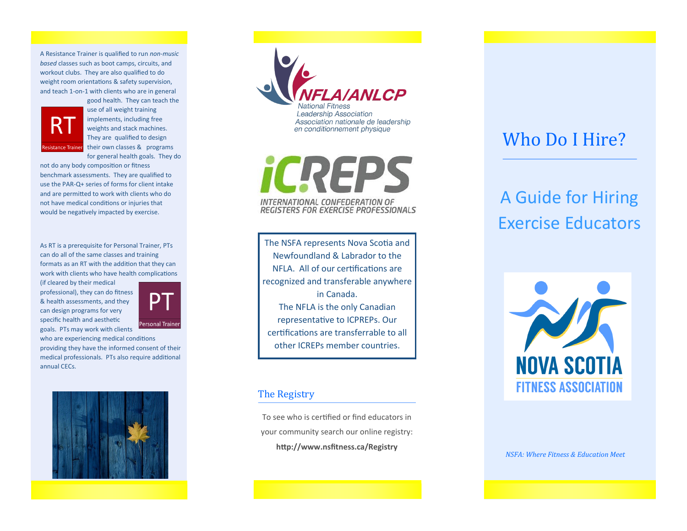A Resistance Trainer is qualified to run *non-music based* classes such as boot camps, circuits, and workout clubs. They are also qualified to do weight room orientations & safety supervision, and teach 1-on-1 with clients who are in general



good health. They can teach the use of all weight training implements, including free weights and stack machines. They are qualified to design Resistance Trainer their own classes & programs for general health goals. They do

not do any body composition or fitness benchmark assessments. They are qualified to use the PAR-Q+ series of forms for client intake and are permitted to work with clients who do not have medical conditions or injuries that would be negatively impacted by exercise.

As RT is a prerequisite for Personal Trainer, PTs can do all of the same classes and training formats as an RT with the addition that they can work with clients who have health complications

(if cleared by their medical professional), they can do fitness & health assessments, and they can design programs for very specific health and aesthetic goals. PTs may work with clients



who are experiencing medical conditions providing they have the informed consent of their medical professionals. PTs also require additional annual CECs.





iCREPS INTERNATIONAL CONFEDERATION OF REGISTERS FOR EXERCISE PROFESSIONALS

The NSFA represents Nova Scotia and Newfoundland & Labrador to the NFLA. All of our certifications are recognized and transferable anywhere in Canada. The NFLA is the only Canadian representative to ICPREPs. Our certifications are transferrable to all other ICREPs member countries.

#### The Registry

To see who is certified or find educators in your community search our online registry: **http://www.nsfitness.ca/Registry**

## Who Do I Hire?

# A Guide for Hiring Exercise Educators



*NSFA: Where Fitness & Education Meet*